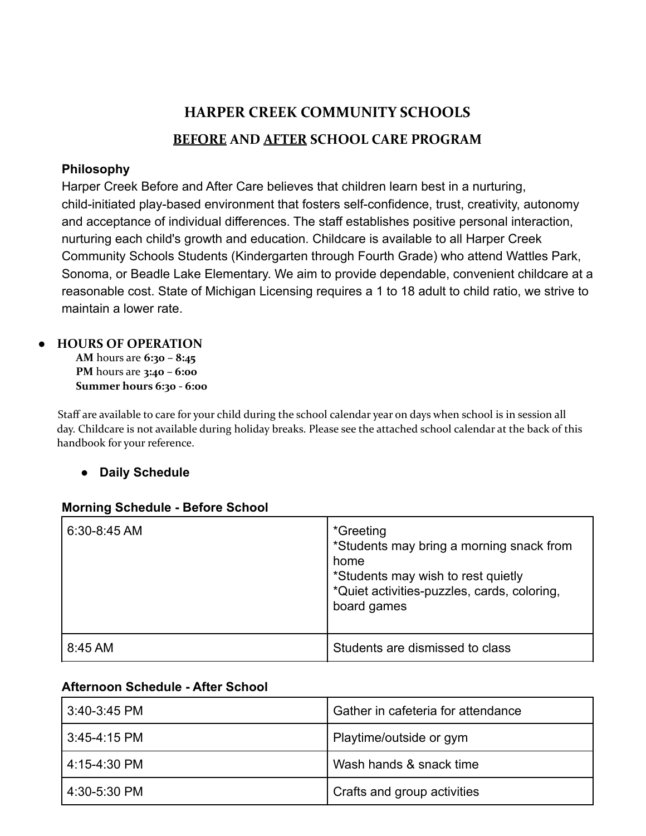# **HARPER CREEK COMMUNITY SCHOOLS BEFORE AND AFTER SCHOOL CARE PROGRAM**

# **Philosophy**

Harper Creek Before and After Care believes that children learn best in a nurturing, child-initiated play-based environment that fosters self-confidence, trust, creativity, autonomy and acceptance of individual differences. The staff establishes positive personal interaction, nurturing each child's growth and education. Childcare is available to all Harper Creek Community Schools Students (Kindergarten through Fourth Grade) who attend Wattles Park, Sonoma, or Beadle Lake Elementary. We aim to provide dependable, convenient childcare at a reasonable cost. State of Michigan Licensing requires a 1 to 18 adult to child ratio, we strive to maintain a lower rate.

# **● HOURS OF OPERATION**

**AM** hours are **6:30 – 8:45 PM** hours are **3:40 – 6:00 Summer hours 6:30 - 6:00**

Staff are available to care for your child during the school calendar year on days when school is in session all day. Childcare is not available during holiday breaks. Please see the attached school calendar at the back of this handbook for your reference.

# **● Daily Schedule**

# **Morning Schedule - Before School**

| 6.30-8.45 AM | *Greeting<br>*Students may bring a morning snack from<br>home<br>*Students may wish to rest quietly<br>*Quiet activities-puzzles, cards, coloring,<br>board games |
|--------------|-------------------------------------------------------------------------------------------------------------------------------------------------------------------|
| 8:45 AM      | Students are dismissed to class                                                                                                                                   |

# **Afternoon Schedule - After School**

| 3:40-3:45 PM   | Gather in cafeteria for attendance |
|----------------|------------------------------------|
| 3:45-4:15 PM   | Playtime/outside or gym            |
| 4.15-4.30 PM   | Wash hands & snack time            |
| ' 4:30-5:30 PM | <b>Crafts and group activities</b> |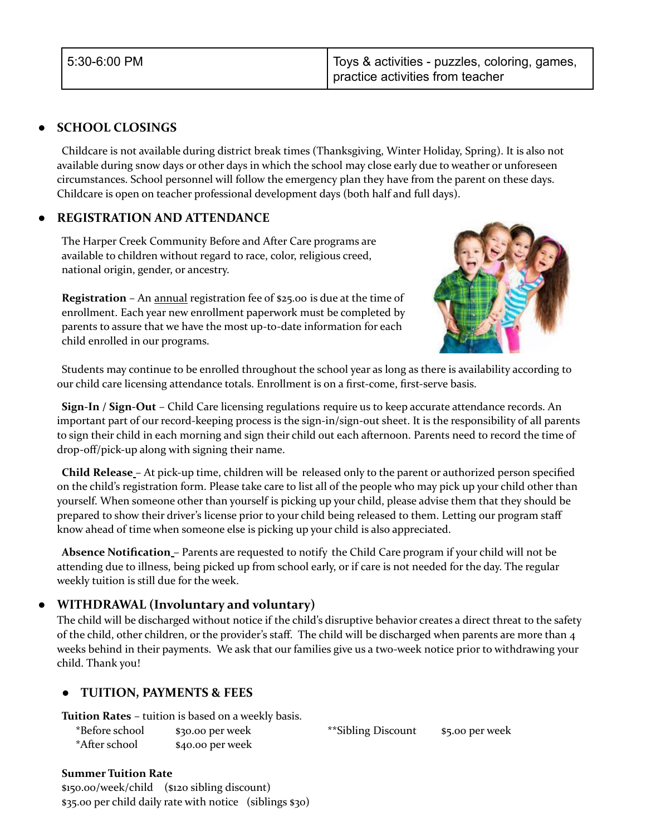# **● SCHOOL CLOSINGS**

Childcare is not available during district break times (Thanksgiving, Winter Holiday, Spring). It is also not available during snow days or other days in which the school may close early due to weather or unforeseen circumstances. School personnel will follow the emergency plan they have from the parent on these days. Childcare is open on teacher professional development days (both half and full days).

# **● REGISTRATION AND ATTENDANCE**

The Harper Creek Community Before and After Care programs are available to children without regard to race, color, religious creed, national origin, gender, or ancestry.

**Registration** – An annual registration fee of \$25.00 is due at the time of enrollment. Each year new enrollment paperwork must be completed by parents to assure that we have the most up-to-date information for each child enrolled in our programs.



Students may continue to be enrolled throughout the school year as long as there is availability according to our child care licensing attendance totals. Enrollment is on a first-come, first-serve basis.

**Sign-In / Sign-Out** – Child Care licensing regulations require us to keep accurate attendance records. An important part of our record-keeping process is the sign-in/sign-out sheet. It is the responsibility of all parents to sign their child in each morning and sign their child out each afternoon. Parents need to record the time of drop-off/pick-up along with signing their name.

**Child Release** – At pick-up time, children will be released only to the parent or authorized person specified on the child's registration form. Please take care to list all of the people who may pick up your child other than yourself. When someone other than yourself is picking up your child, please advise them that they should be prepared to show their driver's license prior to your child being released to them. Letting our program staff know ahead of time when someone else is picking up your child is also appreciated.

**Absence Notification** – Parents are requested to notify the Child Care program if your child will not be attending due to illness, being picked up from school early, or if care is not needed for the day. The regular weekly tuition is still due for the week.

# **● WITHDRAWAL (Involuntary and voluntary)**

The child will be discharged without notice if the child's disruptive behavior creates a direct threat to the safety of the child, other children, or the provider's staff. The child will be discharged when parents are more than 4 weeks behind in their payments. We ask that our families give us a two-week notice prior to withdrawing your child. Thank you!

# **● TUITION, PAYMENTS & FEES**

**Tuition Rates** – tuition is based on a weekly basis.

| *Before school | \$30.00 per week |
|----------------|------------------|
| *After school  | \$40.00 per week |

\*\*Sibling Discount \$5.00 per week

#### **Summer Tuition Rate**

\$150.00/week/child (\$120 sibling discount) \$35.00 per child daily rate with notice (siblings \$30)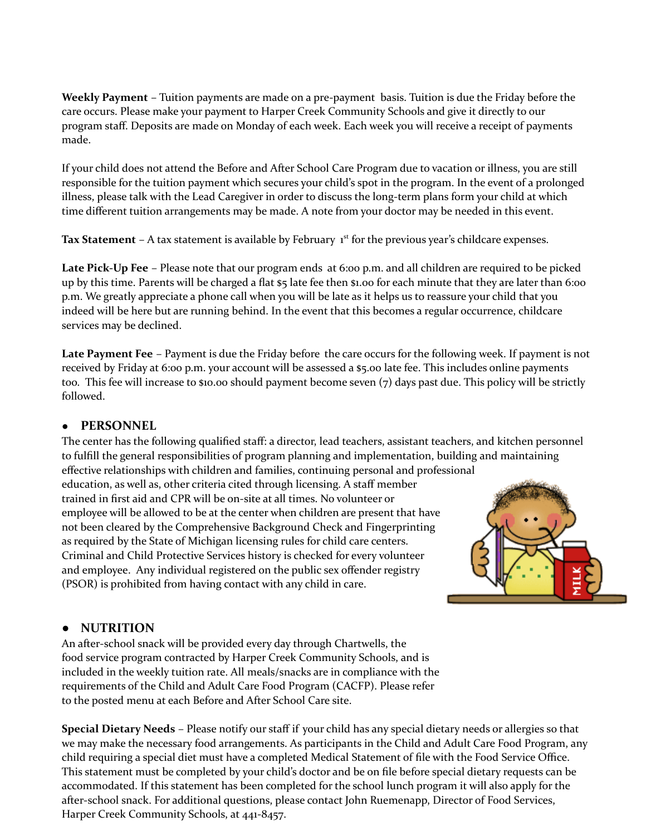**Weekly Payment** – Tuition payments are made on a pre-payment basis. Tuition is due the Friday before the care occurs. Please make your payment to Harper Creek Community Schools and give it directly to our program staff. Deposits are made on Monday of each week. Each week you will receive a receipt of payments made.

If your child does not attend the Before and After School Care Program due to vacation or illness, you are still responsible for the tuition payment which secures your child's spot in the program. In the event of a prolonged illness, please talk with the Lead Caregiver in order to discuss the long-term plans form your child at which time different tuition arrangements may be made. A note from your doctor may be needed in this event.

Tax Statement – A tax statement is available by February 1<sup>st</sup> for the previous year's childcare expenses.

**Late Pick-Up Fee** – Please note that our program ends at 6:00 p.m. and all children are required to be picked up by this time. Parents will be charged a flat \$5 late fee then \$1.00 for each minute that they are later than 6:00 p.m. We greatly appreciate a phone call when you will be late as it helps us to reassure your child that you indeed will be here but are running behind. In the event that this becomes a regular occurrence, childcare services may be declined.

**Late Payment Fee** – Payment is due the Friday before the care occurs for the following week. If payment is not received by Friday at 6:00 p.m. your account will be assessed a \$5.00 late fee. This includes online payments too. This fee will increase to \$10.00 should payment become seven (7) days past due. This policy will be strictly followed.

## ● **PERSONNEL**

The center has the following qualified staff: a director, lead teachers, assistant teachers, and kitchen personnel to fulfill the general responsibilities of program planning and implementation, building and maintaining effective relationships with children and families, continuing personal and professional

education, as well as, other criteria cited through licensing. A staff member trained in first aid and CPR will be on-site at all times. No volunteer or employee will be allowed to be at the center when children are present that have not been cleared by the Comprehensive Background Check and Fingerprinting as required by the State of Michigan licensing rules for child care centers. Criminal and Child Protective Services history is checked for every volunteer and employee. Any individual registered on the public sex offender registry (PSOR) is prohibited from having contact with any child in care.



## **● NUTRITION**

An after-school snack will be provided every day through Chartwells, the food service program contracted by Harper Creek Community Schools, and is included in the weekly tuition rate. All meals/snacks are in compliance with the requirements of the Child and Adult Care Food Program (CACFP). Please refer to the posted menu at each Before and After School Care site.

**Special Dietary Needs** – Please notify our staff if your child has any special dietary needs or allergies so that we may make the necessary food arrangements. As participants in the Child and Adult Care Food Program, any child requiring a special diet must have a completed Medical Statement of file with the Food Service Office. This statement must be completed by your child's doctor and be on file before special dietary requests can be accommodated. If this statement has been completed for the school lunch program it will also apply for the after-school snack. For additional questions, please contact John Ruemenapp, Director of Food Services, Harper Creek Community Schools, at 441-8457.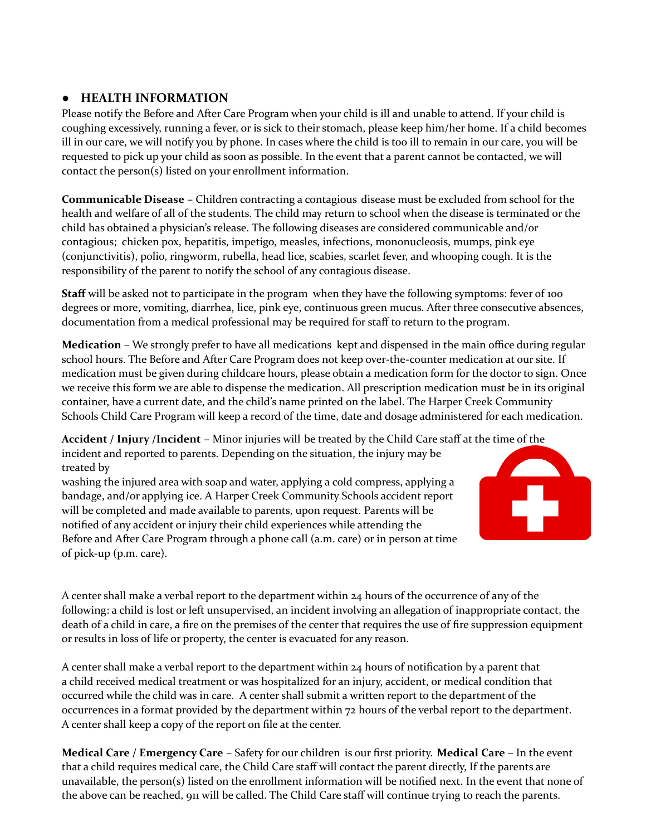# **● HEALTH INFORMATION**

Please notify the Before and After Care Program when your child is ill and unable to attend. If your child is coughing excessively, running a fever, or is sick to their stomach, please keep him/her home. If a child becomes ill in our care, we will notify you by phone. In cases where the child is too ill to remain in our care, you will be requested to pick up your child as soon as possible. In the event that a parent cannot be contacted, we will contact the person(s) listed on your enrollment information.

**Communicable Disease** – Children contracting a contagious disease must be excluded from school for the health and welfare of all of the students. The child may return to school when the disease is terminated or the child has obtained a physician's release. The following diseases are considered communicable and/or contagious; chicken pox, hepatitis, impetigo, measles, infections, mononucleosis, mumps, pink eye (conjunctivitis), polio, ringworm, rubella, head lice, scabies, scarlet fever, and whooping cough. It is the responsibility of the parent to notify the school of any contagious disease.

**Staff** will be asked not to participate in the program when they have the following symptoms: fever of 100 degrees or more, vomiting, diarrhea, lice, pink eye, continuous green mucus. After three consecutive absences, documentation from a medical professional may be required for staff to return to the program.

**Medication** – We strongly prefer to have all medications kept and dispensed in the main office during regular school hours. The Before and After Care Program does not keep over-the-counter medication at our site. If medication must be given during childcare hours, please obtain a medication form for the doctor to sign. Once we receive this form we are able to dispense the medication. All prescription medication must be in its original container, have a current date, and the child's name printed on the label. The Harper Creek Community Schools Child Care Program will keep a record of the time, date and dosage administered for each medication.

**Accident / Injury /Incident** – Minor injuries will be treated by the Child Care staff at the time of the incident and reported to parents. Depending on the situation, the injury may be treated by

washing the injured area with soap and water, applying a cold compress, applying a bandage, and/or applying ice. A Harper Creek Community Schools accident report will be completed and made available to parents, upon request. Parents will be notified of any accident or injury their child experiences while attending the Before and After Care Program through a phone call (a.m. care) or in person at time of pick-up (p.m. care).



A center shall make a verbal report to the department within 24 hours of the occurrence of any of the following: a child is lost or left unsupervised, an incident involving an allegation of inappropriate contact, the death of a child in care, a fire on the premises of the center that requires the use of fire suppression equipment or results in loss of life or property, the center is evacuated for any reason.

A center shall make a verbal report to the department within 24 hours of notification by a parent that a child received medical treatment or was hospitalized for an injury, accident, or medical condition that occurred while the child was in care. A center shall submit a written report to the department of the occurrences in a format provided by the department within 72 hours of the verbal report to the department. A center shall keep a copy of the report on file at the center.

**Medical Care / Emergency Care** – Safety for our children is our first priority. **Medical Care** – In the event that a child requires medical care, the Child Care staff will contact the parent directly, If the parents are unavailable, the person(s) listed on the enrollment information will be notified next. In the event that none of the above can be reached, 911 will be called. The Child Care staff will continue trying to reach the parents.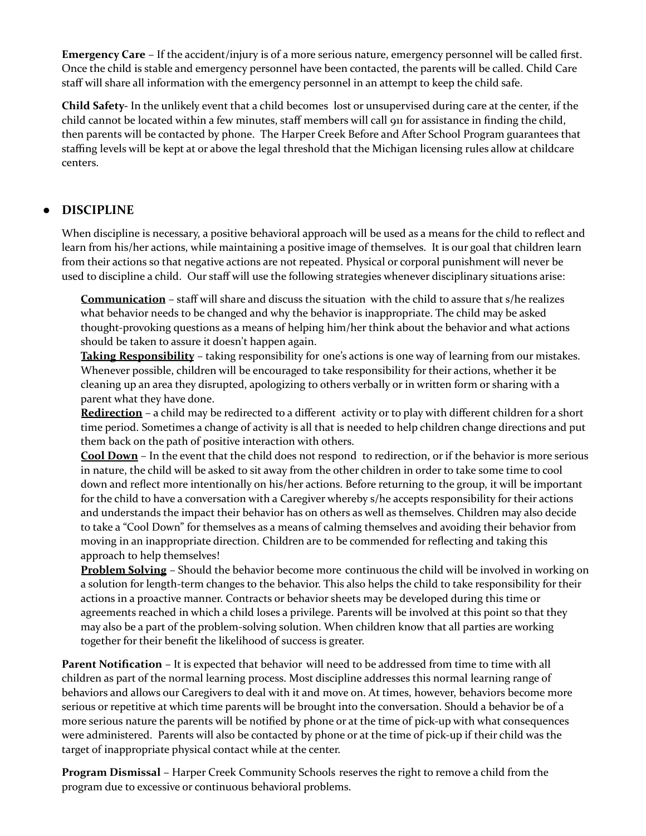**Emergency Care** – If the accident/injury is of a more serious nature, emergency personnel will be called first. Once the child is stable and emergency personnel have been contacted, the parents will be called. Child Care staff will share all information with the emergency personnel in an attempt to keep the child safe.

**Child Safety-** In the unlikely event that a child becomes lost or unsupervised during care at the center, if the child cannot be located within a few minutes, staff members will call 911 for assistance in finding the child, then parents will be contacted by phone. The Harper Creek Before and After School Program guarantees that staffing levels will be kept at or above the legal threshold that the Michigan licensing rules allow at childcare centers.

# **● DISCIPLINE**

When discipline is necessary, a positive behavioral approach will be used as a means for the child to reflect and learn from his/her actions, while maintaining a positive image of themselves. It is our goal that children learn from their actions so that negative actions are not repeated. Physical or corporal punishment will never be used to discipline a child. Our staff will use the following strategies whenever disciplinary situations arise:

**Communication** – staff will share and discuss the situation with the child to assure that s/he realizes what behavior needs to be changed and why the behavior is inappropriate. The child may be asked thought-provoking questions as a means of helping him/her think about the behavior and what actions should be taken to assure it doesn't happen again.

**Taking Responsibility** – taking responsibility for one's actions is one way of learning from our mistakes. Whenever possible, children will be encouraged to take responsibility for their actions, whether it be cleaning up an area they disrupted, apologizing to others verbally or in written form or sharing with a parent what they have done.

**Redirection** – a child may be redirected to a different activity or to play with different children for a short time period. Sometimes a change of activity is all that is needed to help children change directions and put them back on the path of positive interaction with others.

**Cool Down** – In the event that the child does not respond to redirection, or if the behavior is more serious in nature, the child will be asked to sit away from the other children in order to take some time to cool down and reflect more intentionally on his/her actions. Before returning to the group, it will be important for the child to have a conversation with a Caregiver whereby s/he accepts responsibility for their actions and understands the impact their behavior has on others as well as themselves. Children may also decide to take a "Cool Down" for themselves as a means of calming themselves and avoiding their behavior from moving in an inappropriate direction. Children are to be commended for reflecting and taking this approach to help themselves!

**Problem Solving** – Should the behavior become more continuous the child will be involved in working on a solution for length-term changes to the behavior. This also helps the child to take responsibility for their actions in a proactive manner. Contracts or behavior sheets may be developed during this time or agreements reached in which a child loses a privilege. Parents will be involved at this point so that they may also be a part of the problem-solving solution. When children know that all parties are working together for their benefit the likelihood of success is greater.

**Parent Notification** – It is expected that behavior will need to be addressed from time to time with all children as part of the normal learning process. Most discipline addresses this normal learning range of behaviors and allows our Caregivers to deal with it and move on. At times, however, behaviors become more serious or repetitive at which time parents will be brought into the conversation. Should a behavior be of a more serious nature the parents will be notified by phone or at the time of pick-up with what consequences were administered. Parents will also be contacted by phone or at the time of pick-up if their child was the target of inappropriate physical contact while at the center.

**Program Dismissal** – Harper Creek Community Schools reserves the right to remove a child from the program due to excessive or continuous behavioral problems.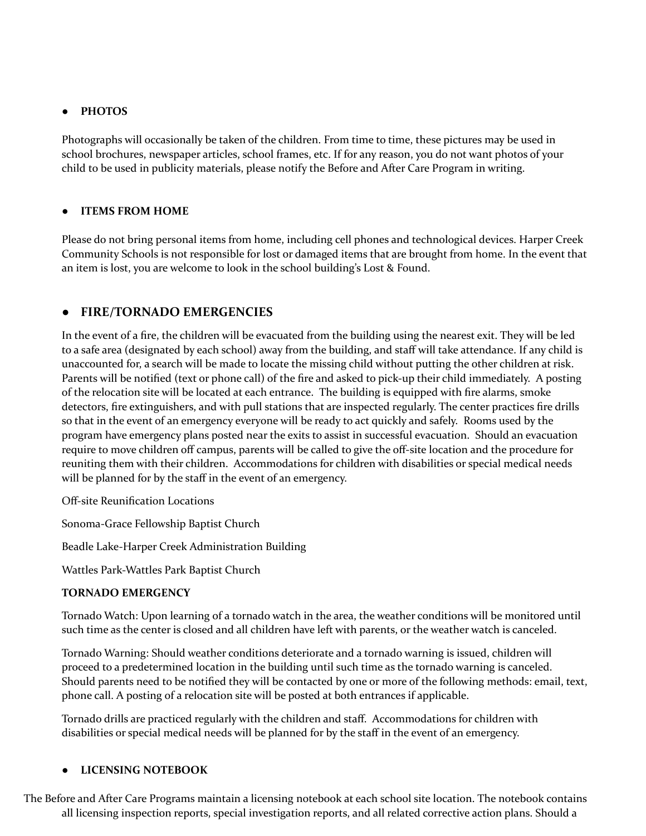## **● PHOTOS**

Photographs will occasionally be taken of the children. From time to time, these pictures may be used in school brochures, newspaper articles, school frames, etc. If for any reason, you do not want photos of your child to be used in publicity materials, please notify the Before and After Care Program in writing.

#### **● ITEMS FROM HOME**

Please do not bring personal items from home, including cell phones and technological devices. Harper Creek Community Schools is not responsible for lost or damaged items that are brought from home. In the event that an item is lost, you are welcome to look in the school building's Lost & Found.

## **● FIRE/TORNADO EMERGENCIES**

In the event of a fire, the children will be evacuated from the building using the nearest exit. They will be led to a safe area (designated by each school) away from the building, and staff will take attendance. If any child is unaccounted for, a search will be made to locate the missing child without putting the other children at risk. Parents will be notified (text or phone call) of the fire and asked to pick-up their child immediately. A posting of the relocation site will be located at each entrance. The building is equipped with fire alarms, smoke detectors, fire extinguishers, and with pull stations that are inspected regularly. The center practices fire drills so that in the event of an emergency everyone will be ready to act quickly and safely. Rooms used by the program have emergency plans posted near the exits to assist in successful evacuation. Should an evacuation require to move children off campus, parents will be called to give the off-site location and the procedure for reuniting them with their children. Accommodations for children with disabilities or special medical needs will be planned for by the staff in the event of an emergency.

Off-site Reunification Locations

Sonoma-Grace Fellowship Baptist Church

Beadle Lake-Harper Creek Administration Building

Wattles Park-Wattles Park Baptist Church

#### **TORNADO EMERGENCY**

Tornado Watch: Upon learning of a tornado watch in the area, the weather conditions will be monitored until such time as the center is closed and all children have left with parents, or the weather watch is canceled.

Tornado Warning: Should weather conditions deteriorate and a tornado warning is issued, children will proceed to a predetermined location in the building until such time as the tornado warning is canceled. Should parents need to be notified they will be contacted by one or more of the following methods: email, text, phone call. A posting of a relocation site will be posted at both entrances if applicable.

Tornado drills are practiced regularly with the children and staff. Accommodations for children with disabilities or special medical needs will be planned for by the staff in the event of an emergency.

#### **● LICENSING NOTEBOOK**

The Before and After Care Programs maintain a licensing notebook at each school site location. The notebook contains all licensing inspection reports, special investigation reports, and all related corrective action plans. Should a